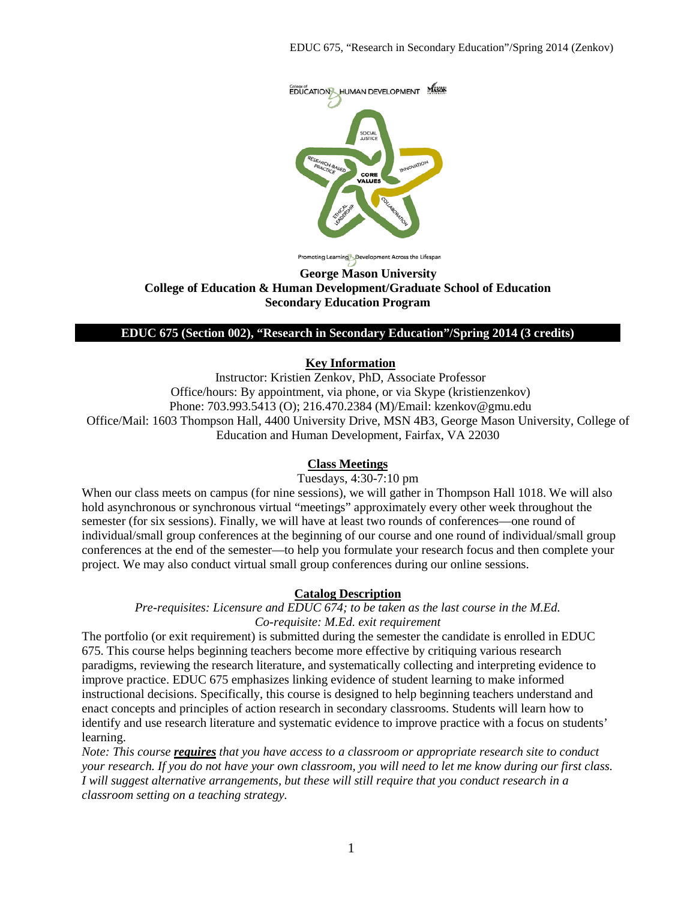

noting Learning Development Across the Lifespan

#### **George Mason University College of Education & Human Development/Graduate School of Education Secondary Education Program**

#### **EDUC 675 (Section 002), "Research in Secondary Education"/Spring 2014 (3 credits)**

### **Key Information**

Instructor: Kristien Zenkov, PhD, Associate Professor Office/hours: By appointment, via phone, or via Skype (kristienzenkov) Phone: 703.993.5413 (O); 216.470.2384 (M)/Email: kzenkov@gmu.edu Office/Mail: 1603 Thompson Hall, 4400 University Drive, MSN 4B3, George Mason University, College of Education and Human Development, Fairfax, VA 22030

#### **Class Meetings**

Tuesdays, 4:30-7:10 pm

When our class meets on campus (for nine sessions), we will gather in Thompson Hall 1018. We will also hold asynchronous or synchronous virtual "meetings" approximately every other week throughout the semester (for six sessions). Finally, we will have at least two rounds of conferences—one round of individual/small group conferences at the beginning of our course and one round of individual/small group conferences at the end of the semester—to help you formulate your research focus and then complete your project. We may also conduct virtual small group conferences during our online sessions.

## **Catalog Description**

*Pre-requisites: Licensure and EDUC 674; to be taken as the last course in the M.Ed. Co-requisite: M.Ed. exit requirement*

The portfolio (or exit requirement) is submitted during the semester the candidate is enrolled in EDUC 675. This course helps beginning teachers become more effective by critiquing various research paradigms, reviewing the research literature, and systematically collecting and interpreting evidence to improve practice. EDUC 675 emphasizes linking evidence of student learning to make informed instructional decisions. Specifically, this course is designed to help beginning teachers understand and enact concepts and principles of action research in secondary classrooms. Students will learn how to identify and use research literature and systematic evidence to improve practice with a focus on students' learning.

*Note: This course requires that you have access to a classroom or appropriate research site to conduct your research. If you do not have your own classroom, you will need to let me know during our first class. I will suggest alternative arrangements, but these will still require that you conduct research in a classroom setting on a teaching strategy.*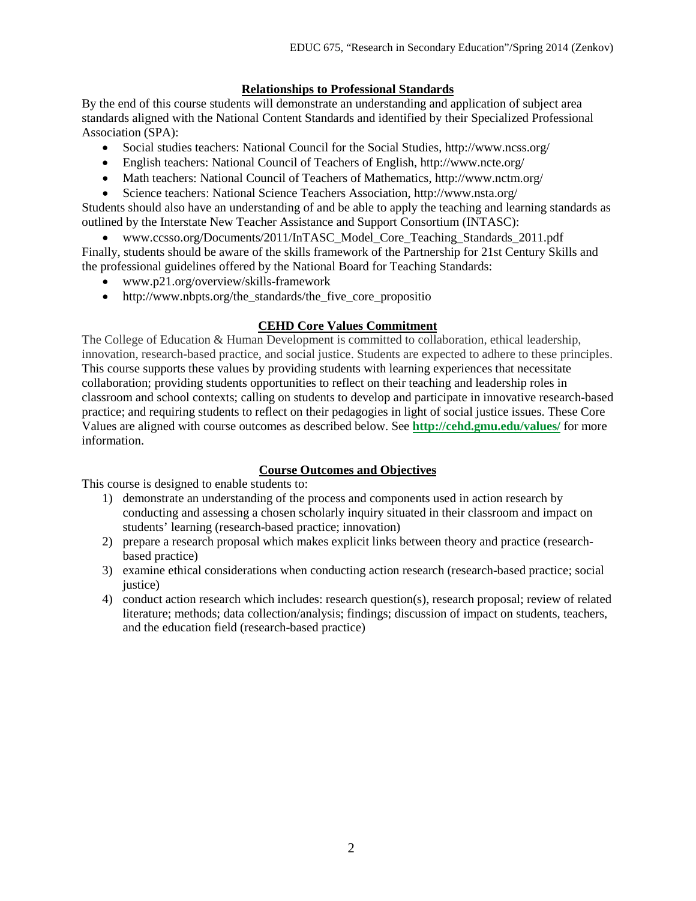## **Relationships to Professional Standards**

By the end of this course students will demonstrate an understanding and application of subject area standards aligned with the National Content Standards and identified by their Specialized Professional Association (SPA):

- Social studies teachers: National Council for the Social Studies, http://www.ncss.org/
- English teachers: National Council of Teachers of English, http://www.ncte.org/
- Math teachers: National Council of Teachers of Mathematics, http://www.nctm.org/
- Science teachers: National Science Teachers Association, http://www.nsta.org/

Students should also have an understanding of and be able to apply the teaching and learning standards as outlined by the Interstate New Teacher Assistance and Support Consortium (INTASC):

• www.ccsso.org/Documents/2011/InTASC\_Model\_Core\_Teaching\_Standards\_2011.pdf Finally, students should be aware of the skills framework of the Partnership for 21st Century Skills and the professional guidelines offered by the National Board for Teaching Standards:

- www.p21.org/overview/skills-framework
- http://www.nbpts.org/the\_standards/the\_five\_core\_propositio

## **CEHD Core Values Commitment**

The College of Education & Human Development is committed to collaboration, ethical leadership, innovation, research-based practice, and social justice. Students are expected to adhere to these principles. This course supports these values by providing students with learning experiences that necessitate collaboration; providing students opportunities to reflect on their teaching and leadership roles in classroom and school contexts; calling on students to develop and participate in innovative research-based practice; and requiring students to reflect on their pedagogies in light of social justice issues. These Core Values are aligned with course outcomes as described below. See **<http://cehd.gmu.edu/values/>** for more information.

## **Course Outcomes and Objectives**

This course is designed to enable students to:

- 1) demonstrate an understanding of the process and components used in action research by conducting and assessing a chosen scholarly inquiry situated in their classroom and impact on students' learning (research-based practice; innovation)
- 2) prepare a research proposal which makes explicit links between theory and practice (researchbased practice)
- 3) examine ethical considerations when conducting action research (research-based practice; social justice)
- 4) conduct action research which includes: research question(s), research proposal; review of related literature; methods; data collection/analysis; findings; discussion of impact on students, teachers, and the education field (research-based practice)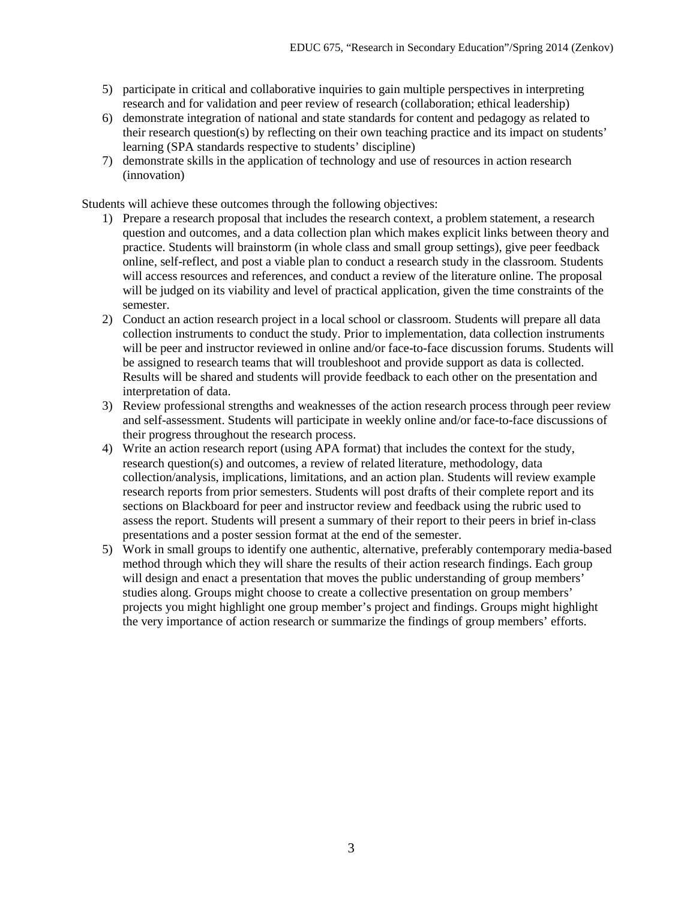- 5) participate in critical and collaborative inquiries to gain multiple perspectives in interpreting research and for validation and peer review of research (collaboration; ethical leadership)
- 6) demonstrate integration of national and state standards for content and pedagogy as related to their research question(s) by reflecting on their own teaching practice and its impact on students' learning (SPA standards respective to students' discipline)
- 7) demonstrate skills in the application of technology and use of resources in action research (innovation)

Students will achieve these outcomes through the following objectives:

- 1) Prepare a research proposal that includes the research context, a problem statement, a research question and outcomes, and a data collection plan which makes explicit links between theory and practice. Students will brainstorm (in whole class and small group settings), give peer feedback online, self-reflect, and post a viable plan to conduct a research study in the classroom. Students will access resources and references, and conduct a review of the literature online. The proposal will be judged on its viability and level of practical application, given the time constraints of the semester.
- 2) Conduct an action research project in a local school or classroom. Students will prepare all data collection instruments to conduct the study. Prior to implementation, data collection instruments will be peer and instructor reviewed in online and/or face-to-face discussion forums. Students will be assigned to research teams that will troubleshoot and provide support as data is collected. Results will be shared and students will provide feedback to each other on the presentation and interpretation of data.
- 3) Review professional strengths and weaknesses of the action research process through peer review and self-assessment. Students will participate in weekly online and/or face-to-face discussions of their progress throughout the research process.
- 4) Write an action research report (using APA format) that includes the context for the study, research question(s) and outcomes, a review of related literature, methodology, data collection/analysis, implications, limitations, and an action plan. Students will review example research reports from prior semesters. Students will post drafts of their complete report and its sections on Blackboard for peer and instructor review and feedback using the rubric used to assess the report. Students will present a summary of their report to their peers in brief in-class presentations and a poster session format at the end of the semester.
- 5) Work in small groups to identify one authentic, alternative, preferably contemporary media-based method through which they will share the results of their action research findings. Each group will design and enact a presentation that moves the public understanding of group members' studies along. Groups might choose to create a collective presentation on group members' projects you might highlight one group member's project and findings. Groups might highlight the very importance of action research or summarize the findings of group members' efforts.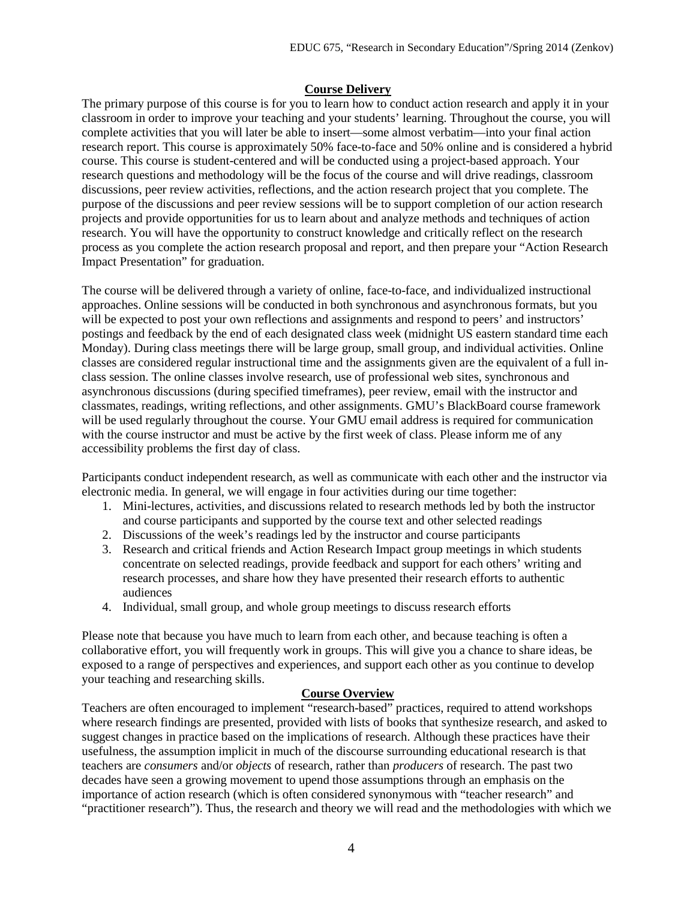#### **Course Delivery**

The primary purpose of this course is for you to learn how to conduct action research and apply it in your classroom in order to improve your teaching and your students' learning. Throughout the course, you will complete activities that you will later be able to insert—some almost verbatim—into your final action research report. This course is approximately 50% face-to-face and 50% online and is considered a hybrid course. This course is student-centered and will be conducted using a project-based approach. Your research questions and methodology will be the focus of the course and will drive readings, classroom discussions, peer review activities, reflections, and the action research project that you complete. The purpose of the discussions and peer review sessions will be to support completion of our action research projects and provide opportunities for us to learn about and analyze methods and techniques of action research. You will have the opportunity to construct knowledge and critically reflect on the research process as you complete the action research proposal and report, and then prepare your "Action Research Impact Presentation" for graduation.

The course will be delivered through a variety of online, face-to-face, and individualized instructional approaches. Online sessions will be conducted in both synchronous and asynchronous formats, but you will be expected to post your own reflections and assignments and respond to peers' and instructors' postings and feedback by the end of each designated class week (midnight US eastern standard time each Monday). During class meetings there will be large group, small group, and individual activities. Online classes are considered regular instructional time and the assignments given are the equivalent of a full inclass session. The online classes involve research, use of professional web sites, synchronous and asynchronous discussions (during specified timeframes), peer review, email with the instructor and classmates, readings, writing reflections, and other assignments. GMU's BlackBoard course framework will be used regularly throughout the course. Your GMU email address is required for communication with the course instructor and must be active by the first week of class. Please inform me of any accessibility problems the first day of class.

Participants conduct independent research, as well as communicate with each other and the instructor via electronic media. In general, we will engage in four activities during our time together:

- 1. Mini-lectures, activities, and discussions related to research methods led by both the instructor and course participants and supported by the course text and other selected readings
- 2. Discussions of the week's readings led by the instructor and course participants
- 3. Research and critical friends and Action Research Impact group meetings in which students concentrate on selected readings, provide feedback and support for each others' writing and research processes, and share how they have presented their research efforts to authentic audiences
- 4. Individual, small group, and whole group meetings to discuss research efforts

Please note that because you have much to learn from each other, and because teaching is often a collaborative effort, you will frequently work in groups. This will give you a chance to share ideas, be exposed to a range of perspectives and experiences, and support each other as you continue to develop your teaching and researching skills.

## **Course Overview**

Teachers are often encouraged to implement "research-based" practices, required to attend workshops where research findings are presented, provided with lists of books that synthesize research, and asked to suggest changes in practice based on the implications of research. Although these practices have their usefulness, the assumption implicit in much of the discourse surrounding educational research is that teachers are *consumers* and/or *objects* of research, rather than *producers* of research. The past two decades have seen a growing movement to upend those assumptions through an emphasis on the importance of action research (which is often considered synonymous with "teacher research" and "practitioner research"). Thus, the research and theory we will read and the methodologies with which we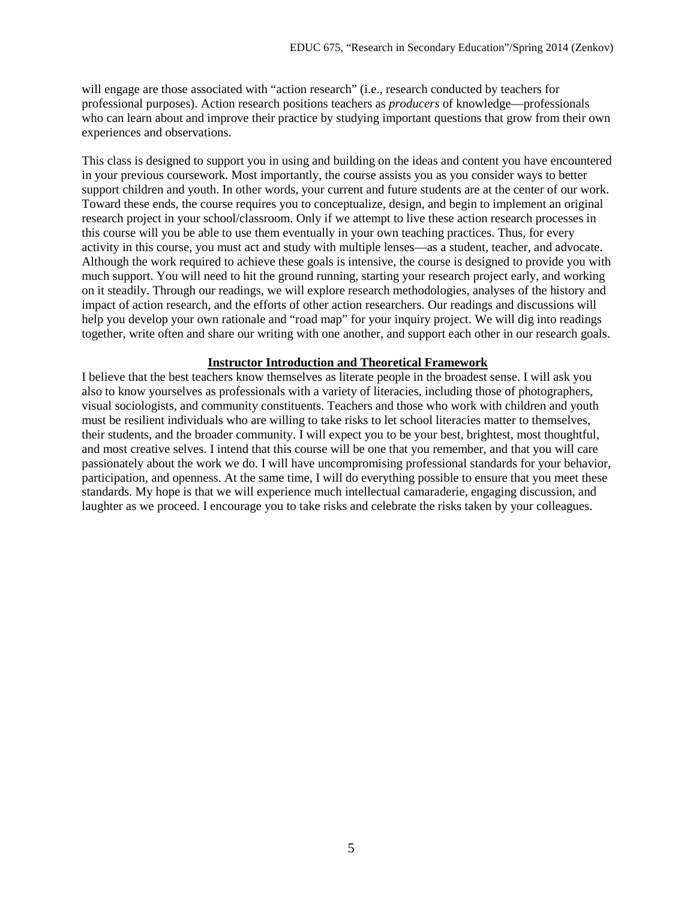will engage are those associated with "action research" (i.e., research conducted by teachers for professional purposes). Action research positions teachers as *producers* of knowledge—professionals who can learn about and improve their practice by studying important questions that grow from their own experiences and observations.

This class is designed to support you in using and building on the ideas and content you have encountered in your previous coursework. Most importantly, the course assists you as you consider ways to better support children and youth. In other words, your current and future students are at the center of our work. Toward these ends, the course requires you to conceptualize, design, and begin to implement an original research project in your school/classroom. Only if we attempt to live these action research processes in this course will you be able to use them eventually in your own teaching practices. Thus, for every activity in this course, you must act and study with multiple lenses—as a student, teacher, and advocate. Although the work required to achieve these goals is intensive, the course is designed to provide you with much support. You will need to hit the ground running, starting your research project early, and working on it steadily. Through our readings, we will explore research methodologies, analyses of the history and impact of action research, and the efforts of other action researchers. Our readings and discussions will help you develop your own rationale and "road map" for your inquiry project. We will dig into readings together, write often and share our writing with one another, and support each other in our research goals.

#### **Instructor Introduction and Theoretical Framework**

I believe that the best teachers know themselves as literate people in the broadest sense. I will ask you also to know yourselves as professionals with a variety of literacies, including those of photographers, visual sociologists, and community constituents. Teachers and those who work with children and youth must be resilient individuals who are willing to take risks to let school literacies matter to themselves, their students, and the broader community. I will expect you to be your best, brightest, most thoughtful, and most creative selves. I intend that this course will be one that you remember, and that you will care passionately about the work we do. I will have uncompromising professional standards for your behavior, participation, and openness. At the same time, I will do everything possible to ensure that you meet these standards. My hope is that we will experience much intellectual camaraderie, engaging discussion, and laughter as we proceed. I encourage you to take risks and celebrate the risks taken by your colleagues.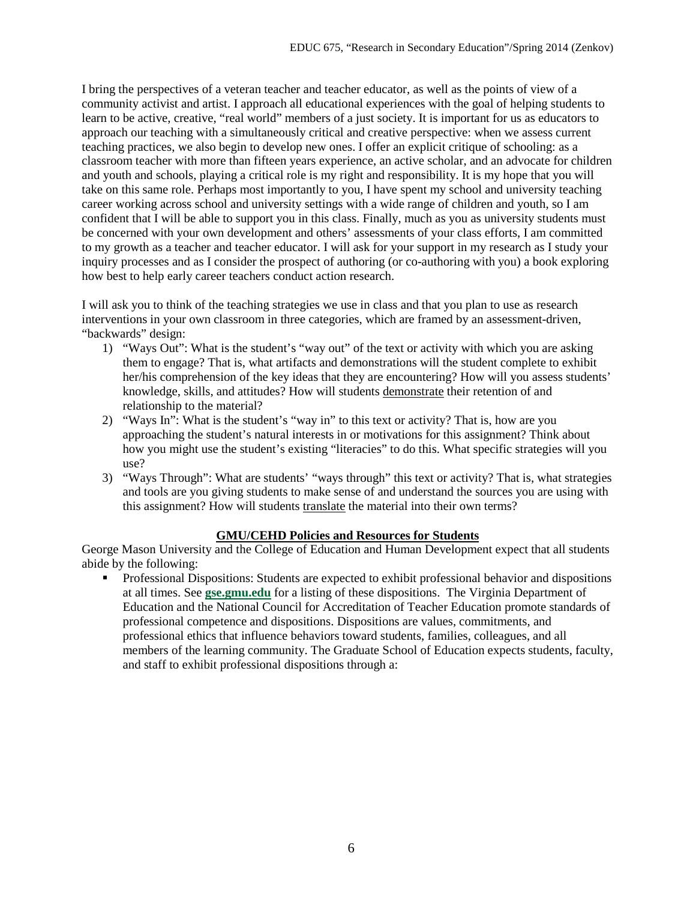I bring the perspectives of a veteran teacher and teacher educator, as well as the points of view of a community activist and artist. I approach all educational experiences with the goal of helping students to learn to be active, creative, "real world" members of a just society. It is important for us as educators to approach our teaching with a simultaneously critical and creative perspective: when we assess current teaching practices, we also begin to develop new ones. I offer an explicit critique of schooling: as a classroom teacher with more than fifteen years experience, an active scholar, and an advocate for children and youth and schools, playing a critical role is my right and responsibility. It is my hope that you will take on this same role. Perhaps most importantly to you, I have spent my school and university teaching career working across school and university settings with a wide range of children and youth, so I am confident that I will be able to support you in this class. Finally, much as you as university students must be concerned with your own development and others' assessments of your class efforts, I am committed to my growth as a teacher and teacher educator. I will ask for your support in my research as I study your inquiry processes and as I consider the prospect of authoring (or co-authoring with you) a book exploring how best to help early career teachers conduct action research.

I will ask you to think of the teaching strategies we use in class and that you plan to use as research interventions in your own classroom in three categories, which are framed by an assessment-driven, "backwards" design:

- 1) "Ways Out": What is the student's "way out" of the text or activity with which you are asking them to engage? That is, what artifacts and demonstrations will the student complete to exhibit her/his comprehension of the key ideas that they are encountering? How will you assess students' knowledge, skills, and attitudes? How will students demonstrate their retention of and relationship to the material?
- 2) "Ways In": What is the student's "way in" to this text or activity? That is, how are you approaching the student's natural interests in or motivations for this assignment? Think about how you might use the student's existing "literacies" to do this. What specific strategies will you use?
- 3) "Ways Through": What are students' "ways through" this text or activity? That is, what strategies and tools are you giving students to make sense of and understand the sources you are using with this assignment? How will students translate the material into their own terms?

## **GMU/CEHD Policies and Resources for Students**

George Mason University and the College of Education and Human Development expect that all students abide by the following:

**Professional Dispositions: Students are expected to exhibit professional behavior and dispositions** at all times. See **[gse.gmu.edu](https://by2prd0510.outlook.com/owa/redir.aspx?C=bcDR-1YfGkmHimyYOu6rz11TnIsCb9AIDGJvWB8bDF6IT0B_7egxPMSuoN_pb45uG3pVrbRPWgA.&URL=http%3a%2f%2fgse.gmu.edu%2f)** for a listing of these dispositions. The Virginia Department of Education and the National Council for Accreditation of Teacher Education promote standards of professional competence and dispositions. Dispositions are values, commitments, and professional ethics that influence behaviors toward students, families, colleagues, and all members of the learning community. The Graduate School of Education expects students, faculty, and staff to exhibit professional dispositions through a: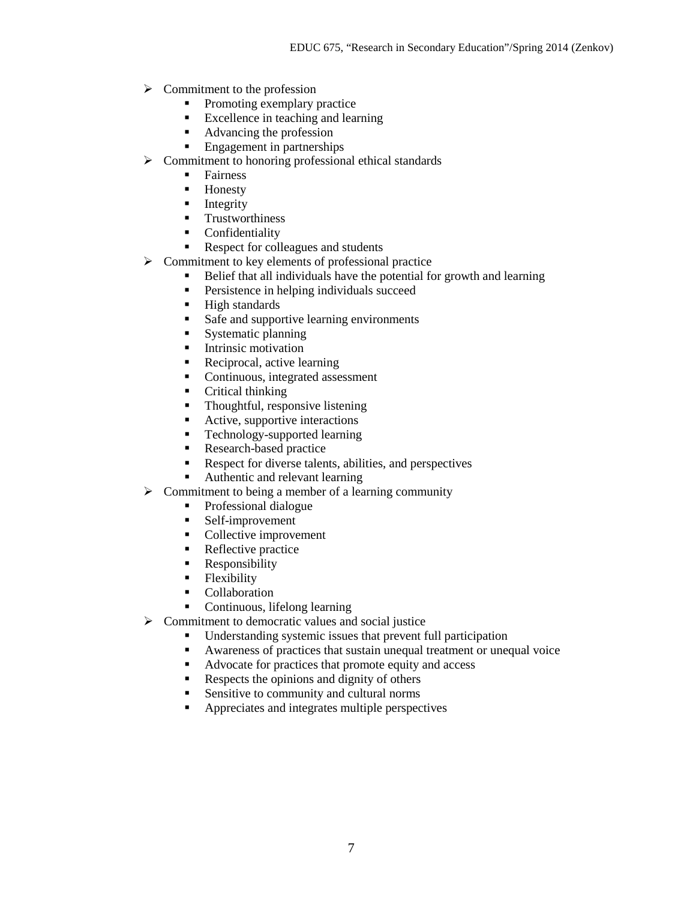- $\triangleright$  Commitment to the profession
	- Promoting exemplary practice
	- Excellence in teaching and learning
	- Advancing the profession
	- **Engagement in partnerships**
- $\triangleright$  Commitment to honoring professional ethical standards
	- **Fairness**
	- **-** Honesty
	- $\blacksquare$  Integrity
	- **Trustworthiness**
	- **Confidentiality**
	- Respect for colleagues and students
- $\triangleright$  Commitment to key elements of professional practice
	- Belief that all individuals have the potential for growth and learning
	- **Persistence in helping individuals succeed**
	- **High standards**
	- Safe and supportive learning environments
	- **Systematic planning**
	- **Intrinsic motivation**
	- Reciprocal, active learning
	- Continuous, integrated assessment
	- Critical thinking
	- Thoughtful, responsive listening
	- Active, supportive interactions
	- Technology-supported learning
	- Research-based practice
	- Respect for diverse talents, abilities, and perspectives
	- Authentic and relevant learning
- $\triangleright$  Commitment to being a member of a learning community
	- Professional dialogue
	- Self-improvement
	- Collective improvement
	- Reflective practice
	- **Responsibility**
	- Flexibility
	- Collaboration
	- Continuous, lifelong learning
- $\triangleright$  Commitment to democratic values and social justice
	- Understanding systemic issues that prevent full participation
	- Awareness of practices that sustain unequal treatment or unequal voice
	- Advocate for practices that promote equity and access
	- Respects the opinions and dignity of others
	- Sensitive to community and cultural norms
	- **•** Appreciates and integrates multiple perspectives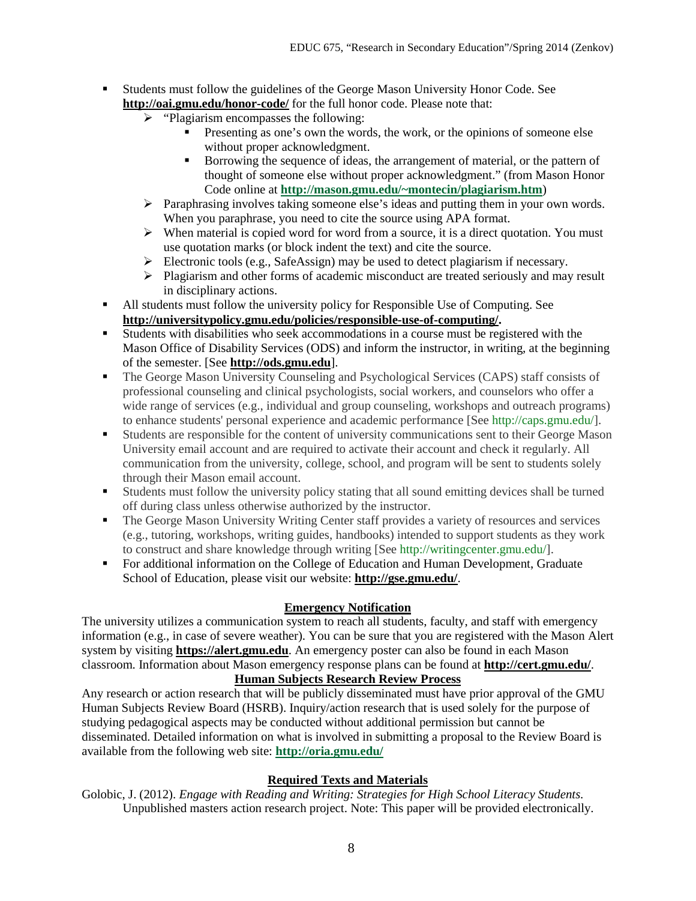- Students must follow the guidelines of the George Mason University Honor Code. See **<http://oai.gmu.edu/honor-code/>** for the full honor code. Please note that:
	- $\triangleright$  "Plagiarism encompasses the following:
		- Presenting as one's own the words, the work, or the opinions of someone else without proper acknowledgment.
		- Borrowing the sequence of ideas, the arrangement of material, or the pattern of thought of someone else without proper acknowledgment." (from Mason Honor Code online at **[http://mason.gmu.edu/~montecin/plagiarism.htm](https://by2prd0510.outlook.com/owa/redir.aspx?C=bcDR-1YfGkmHimyYOu6rz11TnIsCb9AIDGJvWB8bDF6IT0B_7egxPMSuoN_pb45uG3pVrbRPWgA.&URL=http%3a%2f%2fmason.gmu.edu%2f%7emontecin%2fplagiarism.htm)**)
	- $\triangleright$  Paraphrasing involves taking someone else's ideas and putting them in your own words. When you paraphrase, you need to cite the source using APA format.
	- $\triangleright$  When material is copied word for word from a source, it is a direct quotation. You must use quotation marks (or block indent the text) and cite the source.
	- Electronic tools (e.g., SafeAssign) may be used to detect plagiarism if necessary.
	- $\triangleright$  Plagiarism and other forms of academic misconduct are treated seriously and may result in disciplinary actions.
- All students must follow the university policy for Responsible Use of Computing. See **[http://universitypolicy.gmu.edu/policies/responsible-use-of-computing/.](http://universitypolicy.gmu.edu/policies/responsible-use-of-computing/)**
- Students with disabilities who seek accommodations in a course must be registered with the Mason Office of Disability Services (ODS) and inform the instructor, in writing, at the beginning of the semester. [See **[http://ods.gmu.edu](http://ods.gmu.edu/)**].
- The George Mason University Counseling and Psychological Services (CAPS) staff consists of professional counseling and clinical psychologists, social workers, and counselors who offer a wide range of services (e.g., individual and group counseling, workshops and outreach programs) to enhance students' personal experience and academic performance [See [http://caps.gmu.edu/\]](http://caps.gmu.edu/).
- Students are responsible for the content of university communications sent to their George Mason University email account and are required to activate their account and check it regularly. All communication from the university, college, school, and program will be sent to students solely through their Mason email account.
- Students must follow the university policy stating that all sound emitting devices shall be turned off during class unless otherwise authorized by the instructor.
- The George Mason University Writing Center staff provides a variety of resources and services (e.g., tutoring, workshops, writing guides, handbooks) intended to support students as they work to construct and share knowledge through writing [See [http://writingcenter.gmu.edu/\]](http://writingcenter.gmu.edu/).
- For additional information on the College of Education and Human Development, Graduate School of Education, please visit our website: **<http://gse.gmu.edu/>**.

# **Emergency Notification**

The university utilizes a communication system to reach all students, faculty, and staff with emergency information (e.g., in case of severe weather). You can be sure that you are registered with the Mason Alert system by visiting **[https://alert.gmu.edu](https://alert.gmu.edu/)**. An emergency poster can also be found in each Mason classroom. Information about Mason emergency response plans can be found at **<http://cert.gmu.edu/>**.

# **Human Subjects Research Review Process**

Any research or action research that will be publicly disseminated must have prior approval of the GMU Human Subjects Review Board (HSRB). Inquiry/action research that is used solely for the purpose of studying pedagogical aspects may be conducted without additional permission but cannot be disseminated. Detailed information on what is involved in submitting a proposal to the Review Board is available from the following web site: **<http://oria.gmu.edu/>**

## **Required Texts and Materials**

Golobic, J. (2012). *Engage with Reading and Writing: Strategies for High School Literacy Students.*  Unpublished masters action research project. Note: This paper will be provided electronically.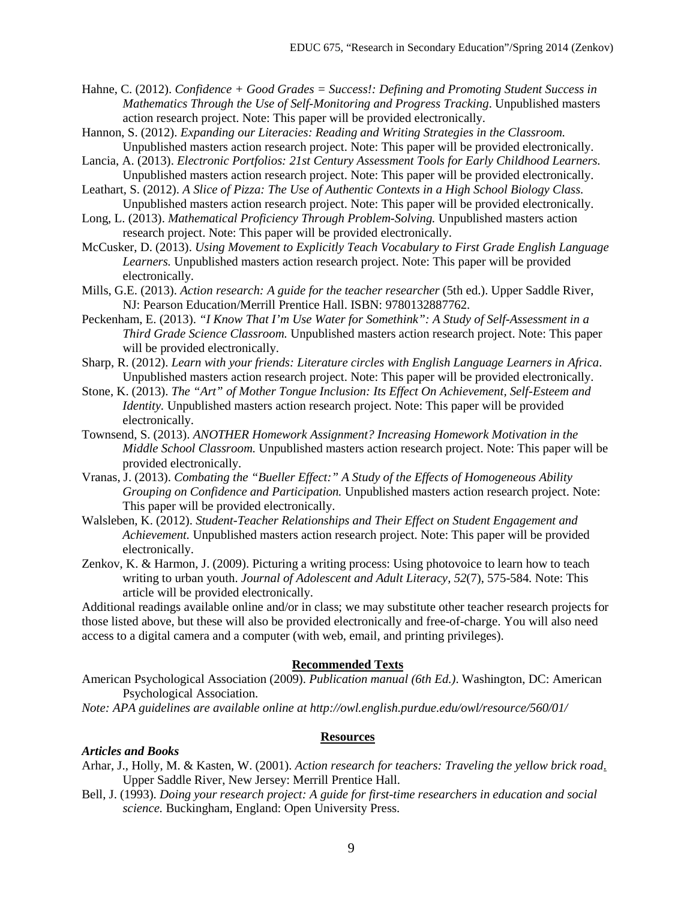Hahne, C. (2012). *Confidence + Good Grades = Success!: Defining and Promoting Student Success in Mathematics Through the Use of Self-Monitoring and Progress Tracking*. Unpublished masters action research project. Note: This paper will be provided electronically.

- Hannon, S. (2012). *Expanding our Literacies: Reading and Writing Strategies in the Classroom.* Unpublished masters action research project. Note: This paper will be provided electronically.
- Lancia, A. (2013). *Electronic Portfolios: 21st Century Assessment Tools for Early Childhood Learners.* Unpublished masters action research project. Note: This paper will be provided electronically.
- Leathart, S. (2012). *A Slice of Pizza: The Use of Authentic Contexts in a High School Biology Class.* Unpublished masters action research project. Note: This paper will be provided electronically.
- Long, L. (2013). *Mathematical Proficiency Through Problem-Solving.* Unpublished masters action research project. Note: This paper will be provided electronically.
- McCusker, D. (2013). *Using Movement to Explicitly Teach Vocabulary to First Grade English Language Learners.* Unpublished masters action research project. Note: This paper will be provided electronically.
- Mills, G.E. (2013). *Action research: A guide for the teacher researcher* (5th ed.). Upper Saddle River, NJ: Pearson Education/Merrill Prentice Hall. ISBN: 9780132887762.
- Peckenham, E. (2013). *"I Know That I'm Use Water for Somethink": A Study of Self-Assessment in a Third Grade Science Classroom.* Unpublished masters action research project. Note: This paper will be provided electronically.
- Sharp, R. (2012). *Learn with your friends: Literature circles with English Language Learners in Africa*. Unpublished masters action research project. Note: This paper will be provided electronically.
- Stone, K. (2013). *The "Art" of Mother Tongue Inclusion: Its Effect On Achievement, Self-Esteem and Identity*. Unpublished masters action research project. Note: This paper will be provided electronically.
- Townsend, S. (2013). *ANOTHER Homework Assignment? Increasing Homework Motivation in the Middle School Classroom.* Unpublished masters action research project. Note: This paper will be provided electronically.
- Vranas, J. (2013). *Combating the "Bueller Effect:" A Study of the Effects of Homogeneous Ability Grouping on Confidence and Participation.* Unpublished masters action research project. Note: This paper will be provided electronically.
- Walsleben, K. (2012). *Student-Teacher Relationships and Their Effect on Student Engagement and Achievement.* Unpublished masters action research project. Note: This paper will be provided electronically.
- Zenkov, K. & Harmon, J. (2009). Picturing a writing process: Using photovoice to learn how to teach writing to urban youth. *Journal of Adolescent and Adult Literacy, 52*(7), 575-584*.* Note: This article will be provided electronically.

Additional readings available online and/or in class; we may substitute other teacher research projects for those listed above, but these will also be provided electronically and free-of-charge. You will also need access to a digital camera and a computer (with web, email, and printing privileges).

#### **Recommended Texts**

American Psychological Association (2009). *Publication manual (6th Ed.)*. Washington, DC: American Psychological Association.

*Note: APA guidelines are available online at http://owl.english.purdue.edu/owl/resource/560/01/*

#### **Resources**

#### *Articles and Books*

- Arhar, J., Holly, M. & Kasten, W. (2001). *Action research for teachers: Traveling the yellow brick road*. Upper Saddle River, New Jersey: Merrill Prentice Hall.
- Bell, J. (1993). *Doing your research project: A guide for first-time researchers in education and social science.* Buckingham, England: Open University Press.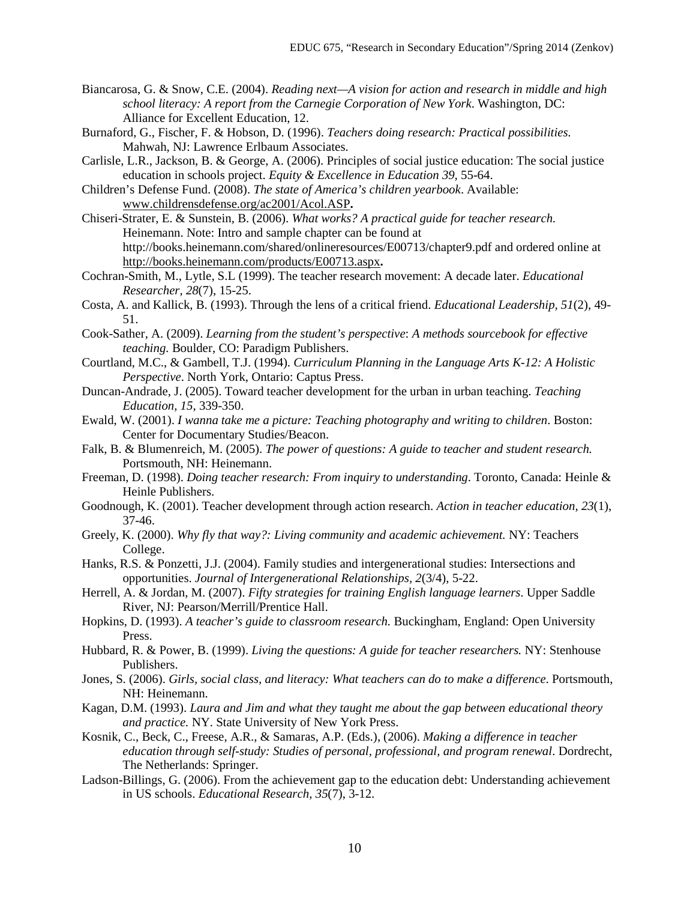- Biancarosa, G. & Snow, C.E. (2004). *Reading next—A vision for action and research in middle and high school literacy: A report from the Carnegie Corporation of New York*. Washington, DC: Alliance for Excellent Education, 12.
- Burnaford, G., Fischer, F. & Hobson, D. (1996). *Teachers doing research: Practical possibilities.* Mahwah, NJ: Lawrence Erlbaum Associates.
- Carlisle, L.R., Jackson, B. & George, A. (2006). Principles of social justice education: The social justice education in schools project. *Equity & Excellence in Education 39,* 55-64.
- Children's Defense Fund. (2008). *The state of America's children yearbook*. Available: [www.childrensdefense.org/ac2001/Acol.ASP](http://www.childrensdefense.org/ac2001/Acol.ASP)**.**
- Chiseri-Strater, E. & Sunstein, B. (2006). *What works? A practical guide for teacher research.*  Heinemann. Note: Intro and sample chapter can be found at http://books.heinemann.com/shared/onlineresources/E00713/chapter9.pdf and ordered online at <http://books.heinemann.com/products/E00713.aspx>**.**
- Cochran-Smith, M., Lytle, S.L (1999). The teacher research movement: A decade later. *Educational Researcher, 28*(7), 15-25.
- Costa, A. and Kallick, B. (1993). Through the lens of a critical friend. *Educational Leadership, 51*(2), 49- 51.
- Cook-Sather, A. (2009). *Learning from the student's perspective*: *A methods sourcebook for effective teaching.* Boulder, CO: Paradigm Publishers.
- Courtland, M.C., & Gambell, T.J. (1994)*. Curriculum Planning in the Language Arts K-12: A Holistic Perspective*. North York, Ontario: Captus Press.
- Duncan-Andrade, J. (2005). Toward teacher development for the urban in urban teaching. *Teaching Education, 15*, 339-350.
- Ewald, W. (2001). *I wanna take me a picture: Teaching photography and writing to children*. Boston: Center for Documentary Studies/Beacon.
- Falk, B. & Blumenreich, M. (2005). *The power of questions: A guide to teacher and student research.*  Portsmouth, NH: Heinemann.
- Freeman, D. (1998). *Doing teacher research: From inquiry to understanding*. Toronto, Canada: Heinle & Heinle Publishers.
- Goodnough, K. (2001). Teacher development through action research. *Action in teacher education, 23*(1), 37-46.
- Greely, K. (2000). *Why fly that way?: Living community and academic achievement.* NY: Teachers College.
- Hanks, R.S. & Ponzetti, J.J. (2004). Family studies and intergenerational studies: Intersections and opportunities. *Journal of Intergenerational Relationships, 2*(3/4), 5-22.
- Herrell, A. & Jordan, M. (2007). *Fifty strategies for training English language learners*. Upper Saddle River, NJ: Pearson/Merrill/Prentice Hall.
- Hopkins, D. (1993). *A teacher's guide to classroom research.* Buckingham, England: Open University Press.
- Hubbard, R. & Power, B. (1999). *Living the questions: A guide for teacher researchers.* NY: Stenhouse Publishers.
- Jones, S. (2006). *Girls, social class, and literacy: What teachers can do to make a difference*. Portsmouth, NH: Heinemann.
- Kagan, D.M. (1993). *Laura and Jim and what they taught me about the gap between educational theory and practice.* NY. State University of New York Press.
- Kosnik, C., Beck, C., Freese, A.R., & Samaras, A.P. (Eds.), (2006). *Making a difference in teacher education through self-study: Studies of personal, professional, and program renewal*. Dordrecht, The Netherlands: Springer.
- Ladson-Billings, G. (2006). From the achievement gap to the education debt: Understanding achievement in US schools. *Educational Research, 35*(7), 3-12.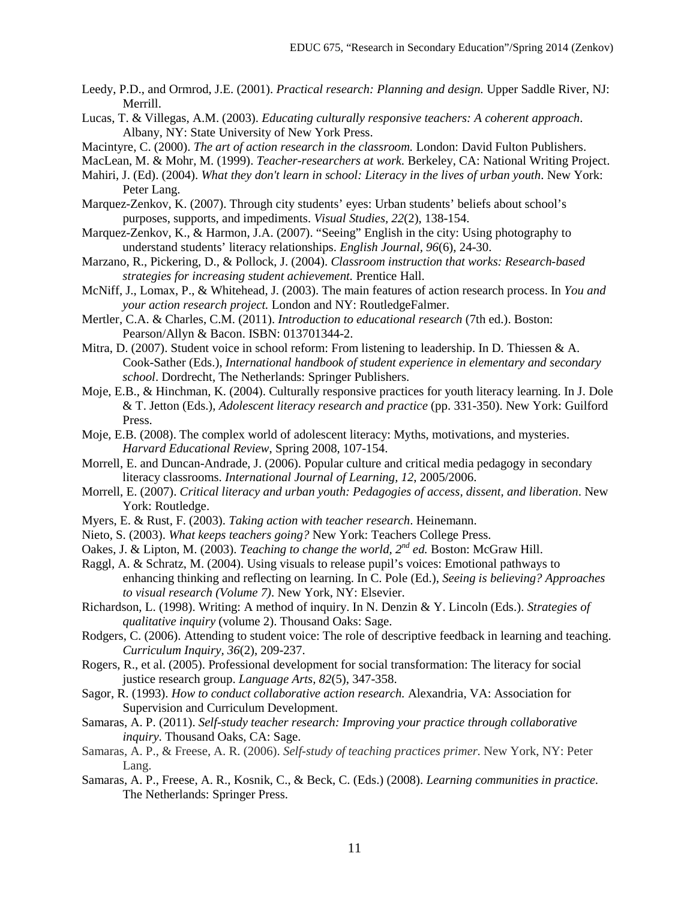- Leedy, P.D., and Ormrod, J.E. (2001). *Practical research: Planning and design.* Upper Saddle River, NJ: Merrill.
- Lucas, T. & Villegas, A.M. (2003). *Educating culturally responsive teachers: A coherent approach*. Albany, NY: State University of New York Press.
- Macintyre, C. (2000). *The art of action research in the classroom.* London: David Fulton Publishers.

MacLean, M. & Mohr, M. (1999). *Teacher-researchers at work.* Berkeley, CA: National Writing Project.

- Mahiri, J. (Ed). (2004). *What they don't learn in school: Literacy in the lives of urban youth*. New York: Peter Lang.
- Marquez-Zenkov, K. (2007). Through city students' eyes: Urban students' beliefs about school's purposes, supports, and impediments. *Visual Studies, 22*(2), 138-154.
- Marquez-Zenkov, K., & Harmon, J.A. (2007). "Seeing" English in the city: Using photography to understand students' literacy relationships. *English Journal, 96*(6), 24-30.
- Marzano, R., Pickering, D., & Pollock, J. (2004). *Classroom instruction that works: Research-based strategies for increasing student achievement.* Prentice Hall.
- McNiff, J., Lomax, P., & Whitehead, J. (2003). The main features of action research process. In *You and your action research project.* London and NY: RoutledgeFalmer.
- Mertler, C.A. & Charles, C.M. (2011). *Introduction to educational research* (7th ed.). Boston: Pearson/Allyn & Bacon. ISBN: 013701344-2.
- Mitra, D. (2007). Student voice in school reform: From listening to leadership. In D. Thiessen & A. Cook-Sather (Eds.), *International handbook of student experience in elementary and secondary school*. Dordrecht, The Netherlands: Springer Publishers.
- Moje, E.B., & Hinchman, K. (2004). Culturally responsive practices for youth literacy learning. In J. Dole & T. Jetton (Eds.), *Adolescent literacy research and practice* (pp. 331-350). New York: Guilford Press.
- Moje, E.B. (2008). The complex world of adolescent literacy: Myths, motivations, and mysteries. *Harvard Educational Review*, Spring 2008, 107-154.
- Morrell, E. and Duncan-Andrade, J. (2006). Popular culture and critical media pedagogy in secondary literacy classrooms. *International Journal of Learning, 12*, 2005/2006.
- Morrell, E. (2007). *Critical literacy and urban youth: Pedagogies of access, dissent, and liberation*. New York: Routledge.
- Myers, E. & Rust, F. (2003). *Taking action with teacher research*. Heinemann.
- Nieto, S. (2003). *What keeps teachers going?* New York: Teachers College Press.
- Oakes, J. & Lipton, M. (2003). *Teaching to change the world, 2nd ed.* Boston: McGraw Hill.
- Raggl, A. & Schratz, M. (2004). Using visuals to release pupil's voices: Emotional pathways to enhancing thinking and reflecting on learning. In C. Pole (Ed.), *Seeing is believing? Approaches to visual research (Volume 7)*. New York, NY: Elsevier.
- Richardson, L. (1998). Writing: A method of inquiry. In N. Denzin & Y. Lincoln (Eds.). *Strategies of qualitative inquiry* (volume 2). Thousand Oaks: Sage.
- Rodgers, C. (2006). Attending to student voice: The role of descriptive feedback in learning and teaching. *Curriculum Inquiry, 36*(2), 209-237.
- Rogers, R., et al. (2005). Professional development for social transformation: The literacy for social justice research group. *Language Arts, 82*(5), 347-358.
- Sagor, R. (1993). *How to conduct collaborative action research.* Alexandria, VA: Association for Supervision and Curriculum Development.
- Samaras, A. P. (2011). *Self-study teacher research: Improving your practice through collaborative inquiry.* Thousand Oaks, CA: Sage.
- Samaras, A. P., & Freese, A. R. (2006). *Self-study of teaching practices primer.* New York, NY: Peter Lang.
- Samaras, A. P., Freese, A. R., Kosnik, C., & Beck, C. (Eds.) (2008). *Learning communities in practice.*  The Netherlands: Springer Press.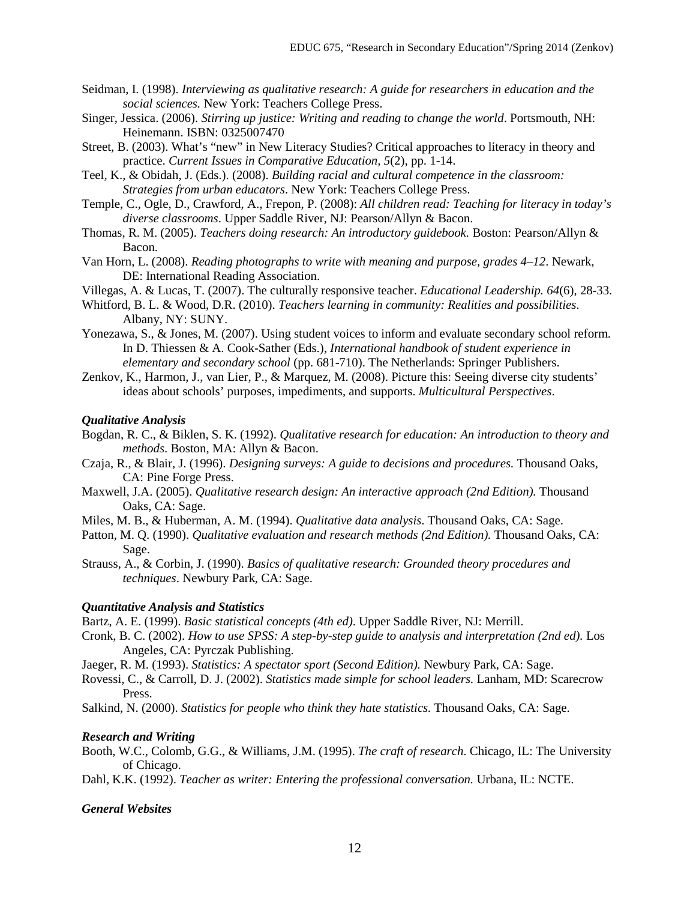- Seidman, I. (1998). *Interviewing as qualitative research: A guide for researchers in education and the social sciences.* New York: Teachers College Press.
- Singer, Jessica. (2006). *Stirring up justice: Writing and reading to change the world*. Portsmouth, NH: Heinemann. ISBN: 0325007470
- Street, B. (2003). What's "new" in New Literacy Studies? Critical approaches to literacy in theory and practice. *Current Issues in Comparative Education, 5*(2), pp. 1-14.
- Teel, K., & Obidah, J. (Eds.). (2008). *Building racial and cultural competence in the classroom: Strategies from urban educators*. New York: Teachers College Press.
- Temple, C., Ogle, D., Crawford, A., Frepon, P. (2008): *All children read: Teaching for literacy in today's diverse classrooms*. Upper Saddle River, NJ: Pearson/Allyn & Bacon.
- Thomas, R. M. (2005). *Teachers doing research: An introductory guidebook.* Boston: Pearson/Allyn & Bacon.
- Van Horn, L. (2008). *Reading photographs to write with meaning and purpose, grades 4–12*. Newark, DE: International Reading Association.
- Villegas, A. & Lucas, T. (2007). The culturally responsive teacher. *Educational Leadership. 64*(6), 28-33.
- Whitford, B. L. & Wood, D.R. (2010). *Teachers learning in community: Realities and possibilities*. Albany, NY: SUNY.
- Yonezawa, S., & Jones, M. (2007). Using student voices to inform and evaluate secondary school reform. In D. Thiessen & A. Cook-Sather (Eds.), *International handbook of student experience in elementary and secondary school* (pp. 681-710). The Netherlands: Springer Publishers.
- Zenkov, K., Harmon, J., van Lier, P., & Marquez, M. (2008). Picture this: Seeing diverse city students' ideas about schools' purposes, impediments, and supports. *Multicultural Perspectives*.

#### *Qualitative Analysis*

- Bogdan, R. C., & Biklen, S. K. (1992). *Qualitative research for education: An introduction to theory and methods*. Boston, MA: Allyn & Bacon.
- Czaja, R., & Blair, J. (1996). *Designing surveys: A guide to decisions and procedures.* Thousand Oaks, CA: Pine Forge Press.
- Maxwell, J.A. (2005). *Qualitative research design: An interactive approach (2nd Edition).* Thousand Oaks, CA: Sage.
- Miles, M. B., & Huberman, A. M. (1994). *Qualitative data analysis*. Thousand Oaks, CA: Sage.
- Patton, M. Q. (1990). *Qualitative evaluation and research methods (2nd Edition).* Thousand Oaks, CA: Sage.
- Strauss, A., & Corbin, J. (1990). *Basics of qualitative research: Grounded theory procedures and techniques*. Newbury Park, CA: Sage.

## *Quantitative Analysis and Statistics*

Bartz, A. E. (1999). *Basic statistical concepts (4th ed)*. Upper Saddle River, NJ: Merrill.

- Cronk, B. C. (2002). *How to use SPSS: A step-by-step guide to analysis and interpretation (2nd ed).* Los Angeles, CA: Pyrczak Publishing.
- Jaeger, R. M. (1993). *Statistics: A spectator sport (Second Edition).* Newbury Park, CA: Sage.
- Rovessi, C., & Carroll, D. J. (2002). *Statistics made simple for school leaders.* Lanham, MD: Scarecrow Press.
- Salkind, N. (2000). *Statistics for people who think they hate statistics.* Thousand Oaks, CA: Sage.

#### *Research and Writing*

- Booth, W.C., Colomb, G.G., & Williams, J.M. (1995). *The craft of research*. Chicago, IL: The University of Chicago.
- Dahl, K.K. (1992). *Teacher as writer: Entering the professional conversation.* Urbana, IL: NCTE.

## *General Websites*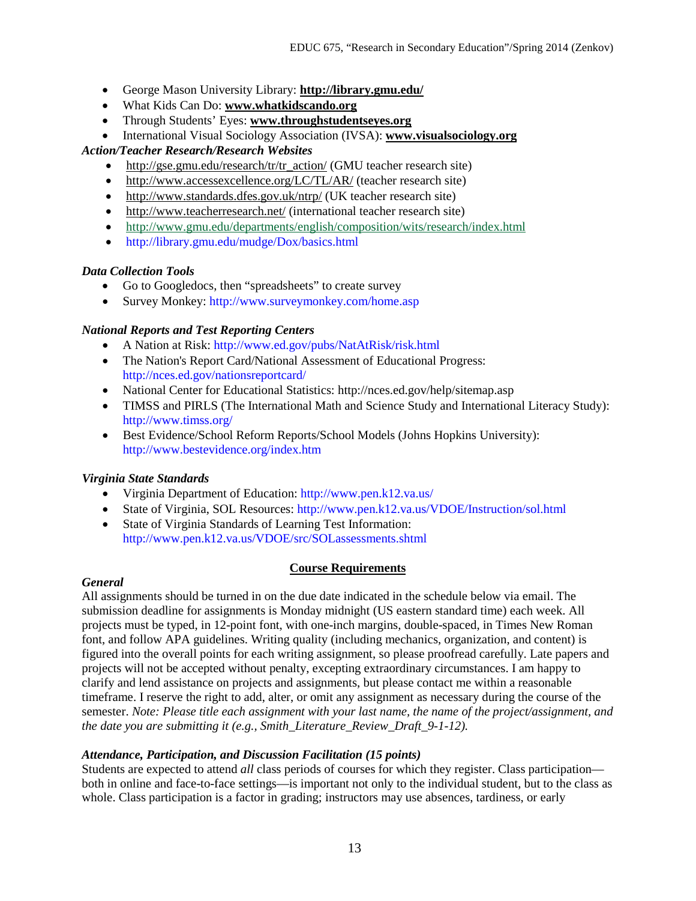- George Mason University Library: **<http://library.gmu.edu/>**
- What Kids Can Do: **[www.whatkidscando.org](http://www.whatkidscando.org/)**
- Through Students' Eyes: **[www.throughstudentseyes.org](http://www.throughstudentseyes.org/)**
- International Visual Sociology Association (IVSA): **[www.visualsociology.org](http://www.visualsociology.org/)**

# *Action/Teacher Research/Research Websites*

- [http://gse.gmu.edu/research/tr/tr\\_action/](http://gse.gmu.edu/research/tr/tr_action/) (GMU teacher research site)
- <http://www.accessexcellence.org/LC/TL/AR/> (teacher research site)
- <http://www.standards.dfes.gov.uk/ntrp/> (UK teacher research site)
- <http://www.teacherresearch.net/> (international teacher research site)
- <http://www.gmu.edu/departments/english/composition/wits/research/index.html>
- http://library.gmu.edu/mudge/Dox/basics.html

## *Data Collection Tools*

- Go to Googledocs, then "spreadsheets" to create survey
- Survey Monkey: http://www.surveymonkey.com/home.asp

## *National Reports and Test Reporting Centers*

- A Nation at Risk: http://www.ed.gov/pubs/NatAtRisk/risk.html
- The Nation's Report Card/National Assessment of Educational Progress: http://nces.ed.gov/nationsreportcard/
- National Center for Educational Statistics: http://nces.ed.gov/help/sitemap.asp
- TIMSS and PIRLS (The International Math and Science Study and International Literacy Study): http://www.timss.org/
- Best Evidence/School Reform Reports/School Models (Johns Hopkins University): http://www.bestevidence.org/index.htm

# *Virginia State Standards*

- Virginia Department of Education: http://www.pen.k12.va.us/
- State of Virginia, SOL Resources: http://www.pen.k12.va.us/VDOE/Instruction/sol.html
- State of Virginia Standards of Learning Test Information: http://www.pen.k12.va.us/VDOE/src/SOLassessments.shtml

## **Course Requirements**

## *General*

All assignments should be turned in on the due date indicated in the schedule below via email. The submission deadline for assignments is Monday midnight (US eastern standard time) each week. All projects must be typed, in 12-point font, with one-inch margins, double-spaced, in Times New Roman font, and follow APA guidelines. Writing quality (including mechanics, organization, and content) is figured into the overall points for each writing assignment, so please proofread carefully. Late papers and projects will not be accepted without penalty, excepting extraordinary circumstances. I am happy to clarify and lend assistance on projects and assignments, but please contact me within a reasonable timeframe. I reserve the right to add, alter, or omit any assignment as necessary during the course of the semester. *Note: Please title each assignment with your last name, the name of the project/assignment, and the date you are submitting it (e.g., Smith\_Literature\_Review\_Draft\_9-1-12).*

## *Attendance, Participation, and Discussion Facilitation (15 points)*

Students are expected to attend *all* class periods of courses for which they register. Class participation both in online and face-to-face settings—is important not only to the individual student, but to the class as whole. Class participation is a factor in grading; instructors may use absences, tardiness, or early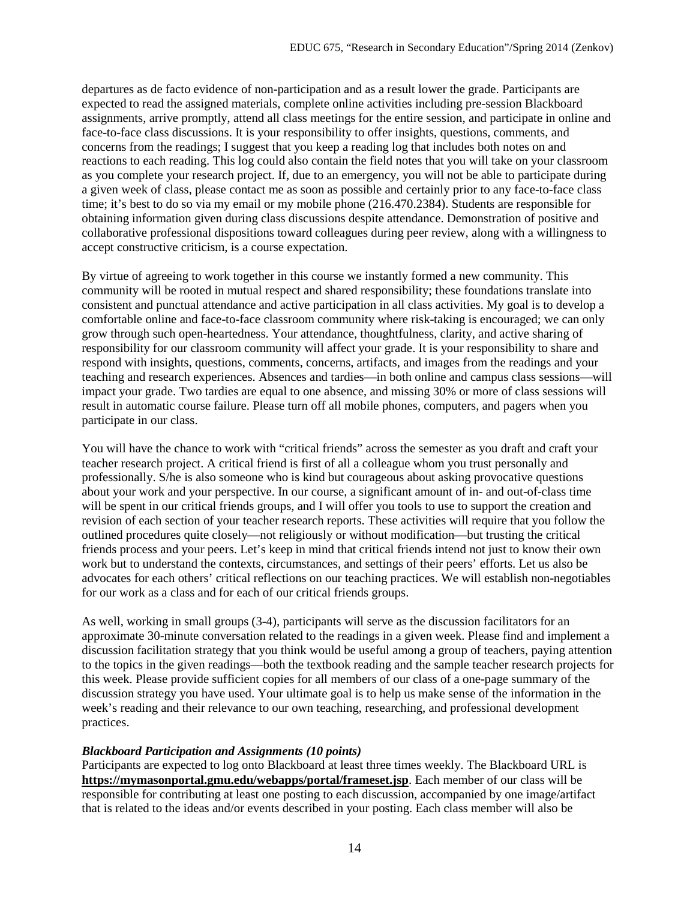departures as de facto evidence of non-participation and as a result lower the grade. Participants are expected to read the assigned materials, complete online activities including pre-session Blackboard assignments, arrive promptly, attend all class meetings for the entire session, and participate in online and face-to-face class discussions. It is your responsibility to offer insights, questions, comments, and concerns from the readings; I suggest that you keep a reading log that includes both notes on and reactions to each reading. This log could also contain the field notes that you will take on your classroom as you complete your research project. If, due to an emergency, you will not be able to participate during a given week of class, please contact me as soon as possible and certainly prior to any face-to-face class time; it's best to do so via my email or my mobile phone (216.470.2384). Students are responsible for obtaining information given during class discussions despite attendance. Demonstration of positive and collaborative professional dispositions toward colleagues during peer review, along with a willingness to accept constructive criticism, is a course expectation.

By virtue of agreeing to work together in this course we instantly formed a new community. This community will be rooted in mutual respect and shared responsibility; these foundations translate into consistent and punctual attendance and active participation in all class activities. My goal is to develop a comfortable online and face-to-face classroom community where risk-taking is encouraged; we can only grow through such open-heartedness. Your attendance, thoughtfulness, clarity, and active sharing of responsibility for our classroom community will affect your grade. It is your responsibility to share and respond with insights, questions, comments, concerns, artifacts, and images from the readings and your teaching and research experiences. Absences and tardies—in both online and campus class sessions—will impact your grade. Two tardies are equal to one absence, and missing 30% or more of class sessions will result in automatic course failure. Please turn off all mobile phones, computers, and pagers when you participate in our class.

You will have the chance to work with "critical friends" across the semester as you draft and craft your teacher research project. A critical friend is first of all a colleague whom you trust personally and professionally. S/he is also someone who is kind but courageous about asking provocative questions about your work and your perspective. In our course, a significant amount of in- and out-of-class time will be spent in our critical friends groups, and I will offer you tools to use to support the creation and revision of each section of your teacher research reports. These activities will require that you follow the outlined procedures quite closely—not religiously or without modification—but trusting the critical friends process and your peers. Let's keep in mind that critical friends intend not just to know their own work but to understand the contexts, circumstances, and settings of their peers' efforts. Let us also be advocates for each others' critical reflections on our teaching practices. We will establish non-negotiables for our work as a class and for each of our critical friends groups.

As well, working in small groups (3-4), participants will serve as the discussion facilitators for an approximate 30-minute conversation related to the readings in a given week. Please find and implement a discussion facilitation strategy that you think would be useful among a group of teachers, paying attention to the topics in the given readings—both the textbook reading and the sample teacher research projects for this week. Please provide sufficient copies for all members of our class of a one-page summary of the discussion strategy you have used. Your ultimate goal is to help us make sense of the information in the week's reading and their relevance to our own teaching, researching, and professional development practices.

#### *Blackboard Participation and Assignments (10 points)*

Participants are expected to log onto Blackboard at least three times weekly. The Blackboard URL is **<https://mymasonportal.gmu.edu/webapps/portal/frameset.jsp>**. Each member of our class will be responsible for contributing at least one posting to each discussion, accompanied by one image/artifact that is related to the ideas and/or events described in your posting. Each class member will also be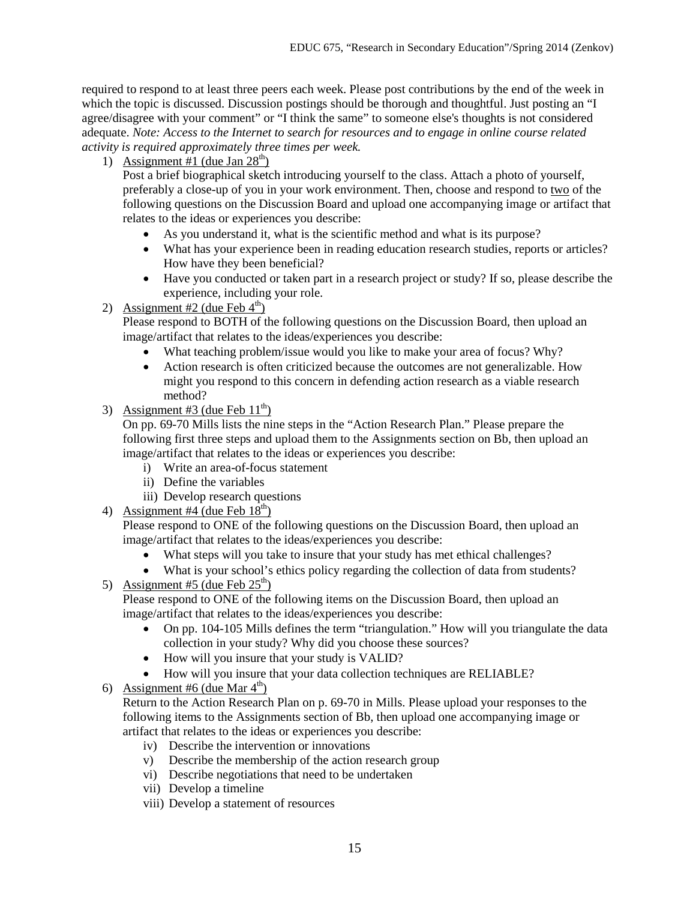required to respond to at least three peers each week. Please post contributions by the end of the week in which the topic is discussed. Discussion postings should be thorough and thoughtful. Just posting an "I agree/disagree with your comment" or "I think the same" to someone else's thoughts is not considered adequate. *Note: Access to the Internet to search for resources and to engage in online course related activity is required approximately three times per week.* 

1) Assignment #1 (due Jan  $28<sup>th</sup>$ )

Post a brief biographical sketch introducing yourself to the class. Attach a photo of yourself, preferably a close-up of you in your work environment. Then, choose and respond to two of the following questions on the Discussion Board and upload one accompanying image or artifact that relates to the ideas or experiences you describe:

- As you understand it, what is the scientific method and what is its purpose?
- What has your experience been in reading education research studies, reports or articles? How have they been beneficial?
- Have you conducted or taken part in a research project or study? If so, please describe the experience, including your role.
- 2) Assignment #2 (due Feb  $4<sup>th</sup>$ )

Please respond to BOTH of the following questions on the Discussion Board, then upload an image/artifact that relates to the ideas/experiences you describe:

- What teaching problem/issue would you like to make your area of focus? Why?
- Action research is often criticized because the outcomes are not generalizable. How might you respond to this concern in defending action research as a viable research method?
- 3) Assignment #3 (due Feb  $11<sup>th</sup>$ )

On pp. 69-70 Mills lists the nine steps in the "Action Research Plan." Please prepare the following first three steps and upload them to the Assignments section on Bb, then upload an image/artifact that relates to the ideas or experiences you describe:

- i) Write an area-of-focus statement
- ii) Define the variables
- iii) Develop research questions
- 4) Assignment #4 (due Feb  $18<sup>th</sup>$ )

Please respond to ONE of the following questions on the Discussion Board, then upload an image/artifact that relates to the ideas/experiences you describe:

- What steps will you take to insure that your study has met ethical challenges?
- What is your school's ethics policy regarding the collection of data from students?
- 5) Assignment #5 (due Feb  $25<sup>th</sup>$ )

Please respond to ONE of the following items on the Discussion Board, then upload an image/artifact that relates to the ideas/experiences you describe:

- On pp. 104-105 Mills defines the term "triangulation." How will you triangulate the data collection in your study? Why did you choose these sources?
- How will you insure that your study is VALID?
- How will you insure that your data collection techniques are RELIABLE?
- 6) Assignment #6 (due Mar  $4<sup>th</sup>$ )

Return to the Action Research Plan on p. 69-70 in Mills. Please upload your responses to the following items to the Assignments section of Bb, then upload one accompanying image or artifact that relates to the ideas or experiences you describe:

- iv) Describe the intervention or innovations
- v) Describe the membership of the action research group
- vi) Describe negotiations that need to be undertaken
- vii) Develop a timeline
- viii) Develop a statement of resources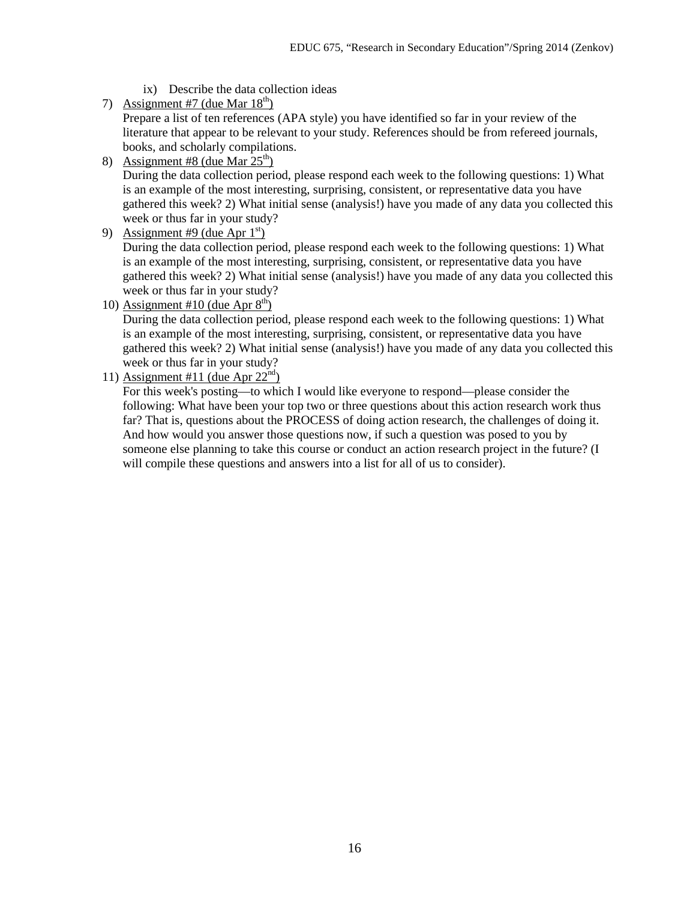- ix) Describe the data collection ideas
- 7) Assignment #7 (due Mar  $18<sup>th</sup>$ ) Prepare a list of ten references (APA style) you have identified so far in your review of the literature that appear to be relevant to your study. References should be from refereed journals, books, and scholarly compilations.
- 8) Assignment #8 (due Mar  $25<sup>th</sup>$ ) During the data collection period, please respond each week to the following questions: 1) What is an example of the most interesting, surprising, consistent, or representative data you have gathered this week? 2) What initial sense (analysis!) have you made of any data you collected this week or thus far in your study?
- 9) Assignment #9 (due Apr  $1<sup>st</sup>$ )

During the data collection period, please respond each week to the following questions: 1) What is an example of the most interesting, surprising, consistent, or representative data you have gathered this week? 2) What initial sense (analysis!) have you made of any data you collected this week or thus far in your study?

10) Assignment #10 (due Apr  $8<sup>th</sup>$ )

During the data collection period, please respond each week to the following questions: 1) What is an example of the most interesting, surprising, consistent, or representative data you have gathered this week? 2) What initial sense (analysis!) have you made of any data you collected this week or thus far in your study?

11) Assignment #11 (due Apr  $22<sup>nd</sup>$ )

For this week's posting—to which I would like everyone to respond—please consider the following: What have been your top two or three questions about this action research work thus far? That is, questions about the PROCESS of doing action research, the challenges of doing it. And how would you answer those questions now, if such a question was posed to you by someone else planning to take this course or conduct an action research project in the future? (I will compile these questions and answers into a list for all of us to consider).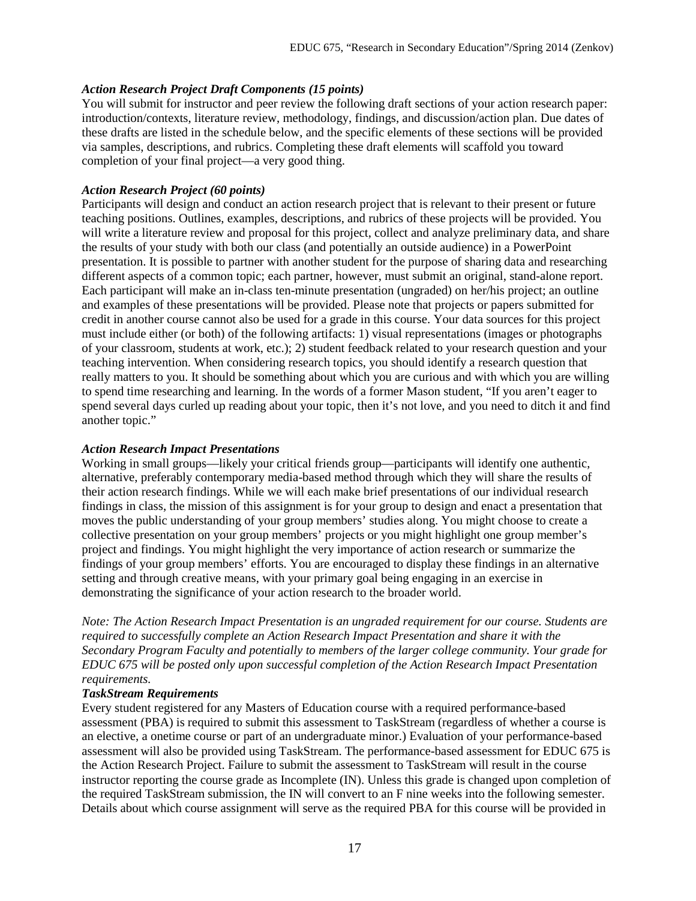## *Action Research Project Draft Components (15 points)*

You will submit for instructor and peer review the following draft sections of your action research paper: introduction/contexts, literature review, methodology, findings, and discussion/action plan. Due dates of these drafts are listed in the schedule below, and the specific elements of these sections will be provided via samples, descriptions, and rubrics. Completing these draft elements will scaffold you toward completion of your final project—a very good thing.

## *Action Research Project (60 points)*

Participants will design and conduct an action research project that is relevant to their present or future teaching positions. Outlines, examples, descriptions, and rubrics of these projects will be provided. You will write a literature review and proposal for this project, collect and analyze preliminary data, and share the results of your study with both our class (and potentially an outside audience) in a PowerPoint presentation. It is possible to partner with another student for the purpose of sharing data and researching different aspects of a common topic; each partner, however, must submit an original, stand-alone report. Each participant will make an in-class ten-minute presentation (ungraded) on her/his project; an outline and examples of these presentations will be provided. Please note that projects or papers submitted for credit in another course cannot also be used for a grade in this course. Your data sources for this project must include either (or both) of the following artifacts: 1) visual representations (images or photographs of your classroom, students at work, etc.); 2) student feedback related to your research question and your teaching intervention. When considering research topics, you should identify a research question that really matters to you. It should be something about which you are curious and with which you are willing to spend time researching and learning. In the words of a former Mason student, "If you aren't eager to spend several days curled up reading about your topic, then it's not love, and you need to ditch it and find another topic."

## *Action Research Impact Presentations*

Working in small groups—likely your critical friends group—participants will identify one authentic, alternative, preferably contemporary media-based method through which they will share the results of their action research findings. While we will each make brief presentations of our individual research findings in class, the mission of this assignment is for your group to design and enact a presentation that moves the public understanding of your group members' studies along. You might choose to create a collective presentation on your group members' projects or you might highlight one group member's project and findings. You might highlight the very importance of action research or summarize the findings of your group members' efforts. You are encouraged to display these findings in an alternative setting and through creative means, with your primary goal being engaging in an exercise in demonstrating the significance of your action research to the broader world.

*Note: The Action Research Impact Presentation is an ungraded requirement for our course. Students are required to successfully complete an Action Research Impact Presentation and share it with the Secondary Program Faculty and potentially to members of the larger college community. Your grade for EDUC 675 will be posted only upon successful completion of the Action Research Impact Presentation requirements.*

#### *TaskStream Requirements*

Every student registered for any Masters of Education course with a required performance-based assessment (PBA) is required to submit this assessment to TaskStream (regardless of whether a course is an elective, a onetime course or part of an undergraduate minor.) Evaluation of your performance-based assessment will also be provided using TaskStream. The performance-based assessment for EDUC 675 is the Action Research Project. Failure to submit the assessment to TaskStream will result in the course instructor reporting the course grade as Incomplete (IN). Unless this grade is changed upon completion of the required TaskStream submission, the IN will convert to an F nine weeks into the following semester. Details about which course assignment will serve as the required PBA for this course will be provided in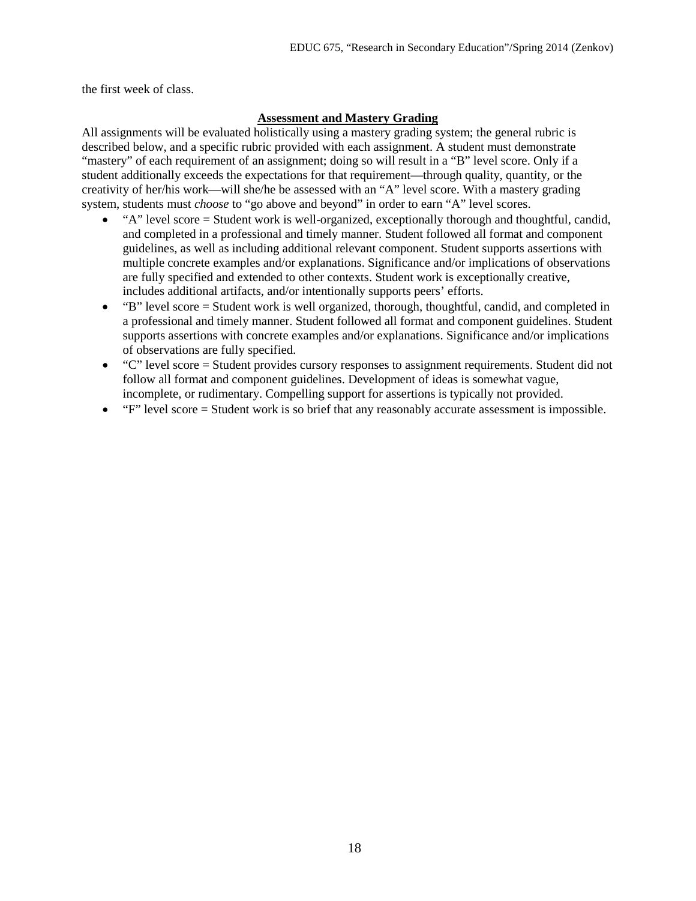the first week of class.

## **Assessment and Mastery Grading**

All assignments will be evaluated holistically using a mastery grading system; the general rubric is described below, and a specific rubric provided with each assignment. A student must demonstrate "mastery" of each requirement of an assignment; doing so will result in a "B" level score. Only if a student additionally exceeds the expectations for that requirement—through quality, quantity, or the creativity of her/his work—will she/he be assessed with an "A" level score. With a mastery grading system, students must *choose* to "go above and beyond" in order to earn "A" level scores.

- "A" level score = Student work is well-organized, exceptionally thorough and thoughtful, candid, and completed in a professional and timely manner. Student followed all format and component guidelines, as well as including additional relevant component. Student supports assertions with multiple concrete examples and/or explanations. Significance and/or implications of observations are fully specified and extended to other contexts. Student work is exceptionally creative, includes additional artifacts, and/or intentionally supports peers' efforts.
- "B" level score = Student work is well organized, thorough, thoughtful, candid, and completed in a professional and timely manner. Student followed all format and component guidelines. Student supports assertions with concrete examples and/or explanations. Significance and/or implications of observations are fully specified.
- "C" level score = Student provides cursory responses to assignment requirements. Student did not follow all format and component guidelines. Development of ideas is somewhat vague, incomplete, or rudimentary. Compelling support for assertions is typically not provided.
- $"F"$  level score  $=$  Student work is so brief that any reasonably accurate assessment is impossible.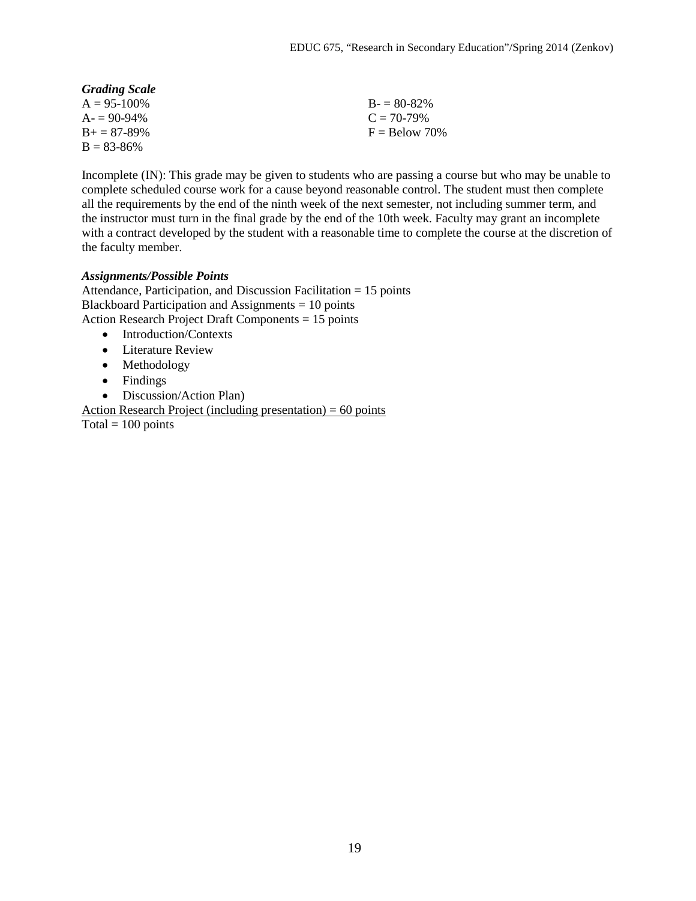| <b>Grading Scale</b> |                 |
|----------------------|-----------------|
| $A = 95-100\%$       | $B = 80-82\%$   |
| $A = 90-94\%$        | $C = 70-79%$    |
| $B_+ = 87 - 89\%$    | $F =$ Below 70% |
| $B = 83 - 86\%$      |                 |

Incomplete (IN): This grade may be given to students who are passing a course but who may be unable to complete scheduled course work for a cause beyond reasonable control. The student must then complete all the requirements by the end of the ninth week of the next semester, not including summer term, and the instructor must turn in the final grade by the end of the 10th week. Faculty may grant an incomplete with a contract developed by the student with a reasonable time to complete the course at the discretion of the faculty member.

### *Assignments/Possible Points*

Attendance, Participation, and Discussion Facilitation = 15 points Blackboard Participation and Assignments = 10 points Action Research Project Draft Components = 15 points

- Introduction/Contexts
- Literature Review
- Methodology
- Findings
- Discussion/Action Plan)

Action Research Project (including presentation)  $= 60$  points  $\overline{\text{Total}} = 100 \text{ points}$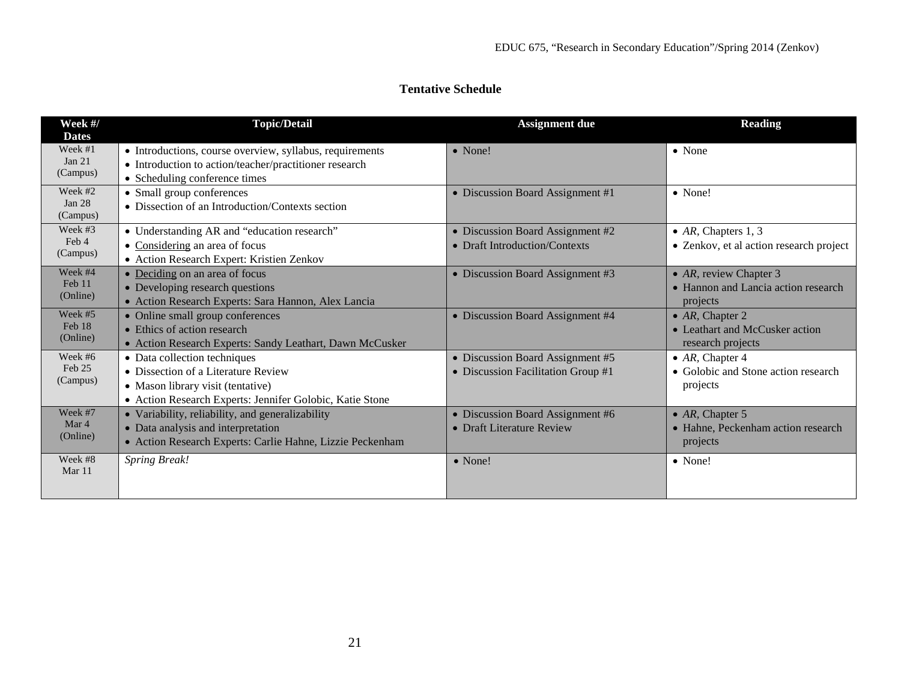# **Tentative Schedule**

| Week #/<br><b>Dates</b>         | <b>Topic/Detail</b>                                                                                                                                                  | <b>Assignment due</b>                                                  | <b>Reading</b>                                                               |
|---------------------------------|----------------------------------------------------------------------------------------------------------------------------------------------------------------------|------------------------------------------------------------------------|------------------------------------------------------------------------------|
| Week #1<br>Jan 21<br>(Campus)   | • Introductions, course overview, syllabus, requirements<br>• Introduction to action/teacher/practitioner research<br>• Scheduling conference times                  | $\bullet$ None!                                                        | $\bullet$ None                                                               |
| Week #2<br>Jan $28$<br>(Campus) | • Small group conferences<br>• Dissection of an Introduction/Contexts section                                                                                        | • Discussion Board Assignment #1                                       | • None!                                                                      |
| Week #3<br>Feb 4<br>(Campus)    | • Understanding AR and "education research"<br>• Considering an area of focus<br>• Action Research Expert: Kristien Zenkov                                           | • Discussion Board Assignment #2<br>• Draft Introduction/Contexts      | • $AR$ , Chapters 1, 3<br>• Zenkov, et al action research project            |
| Week #4<br>Feb 11<br>(Online)   | • Deciding on an area of focus<br>• Developing research questions<br>· Action Research Experts: Sara Hannon, Alex Lancia                                             | • Discussion Board Assignment #3                                       | • $AR$ , review Chapter 3<br>• Hannon and Lancia action research<br>projects |
| Week #5<br>Feb 18<br>(Online)   | • Online small group conferences<br>• Ethics of action research<br>• Action Research Experts: Sandy Leathart, Dawn McCusker                                          | • Discussion Board Assignment #4                                       | • $AR$ , Chapter 2<br>• Leathart and McCusker action<br>research projects    |
| Week #6<br>$Feh$ 25<br>(Campus) | • Data collection techniques<br>• Dissection of a Literature Review<br>• Mason library visit (tentative)<br>• Action Research Experts: Jennifer Golobic, Katie Stone | • Discussion Board Assignment #5<br>• Discussion Facilitation Group #1 | • $AR$ , Chapter 4<br>• Golobic and Stone action research<br>projects        |
| Week #7<br>Mar 4<br>(Online)    | • Variability, reliability, and generalizability<br>• Data analysis and interpretation<br>• Action Research Experts: Carlie Hahne, Lizzie Peckenham                  | • Discussion Board Assignment #6<br>• Draft Literature Review          | • $AR$ , Chapter 5<br>• Hahne, Peckenham action research<br>projects         |
| Week #8<br>Mar 11               | <b>Spring Break!</b>                                                                                                                                                 | $\bullet$ None!                                                        | $\bullet$ None!                                                              |